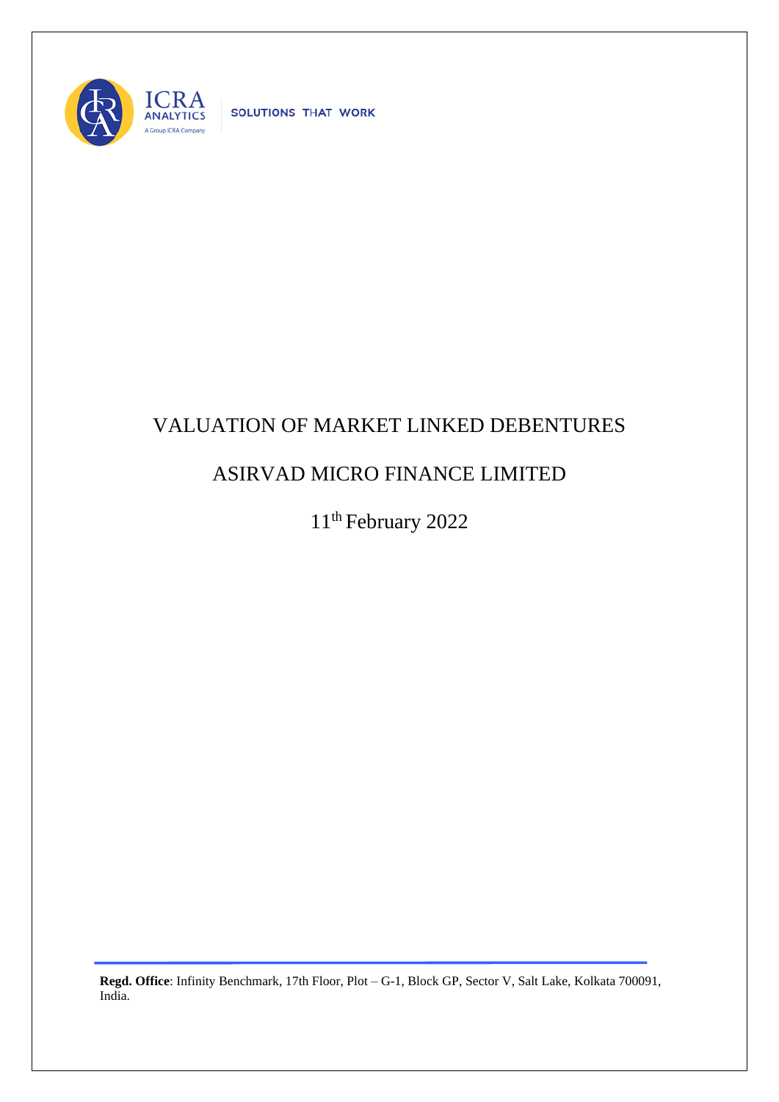

SOLUTIONS THAT WORK

## VALUATION OF MARKET LINKED DEBENTURES

## ASIRVAD MICRO FINANCE LIMITED

11<sup>th</sup> February 2022

**Regd. Office**: Infinity Benchmark, 17th Floor, Plot – G-1, Block GP, Sector V, Salt Lake, Kolkata 700091, India.